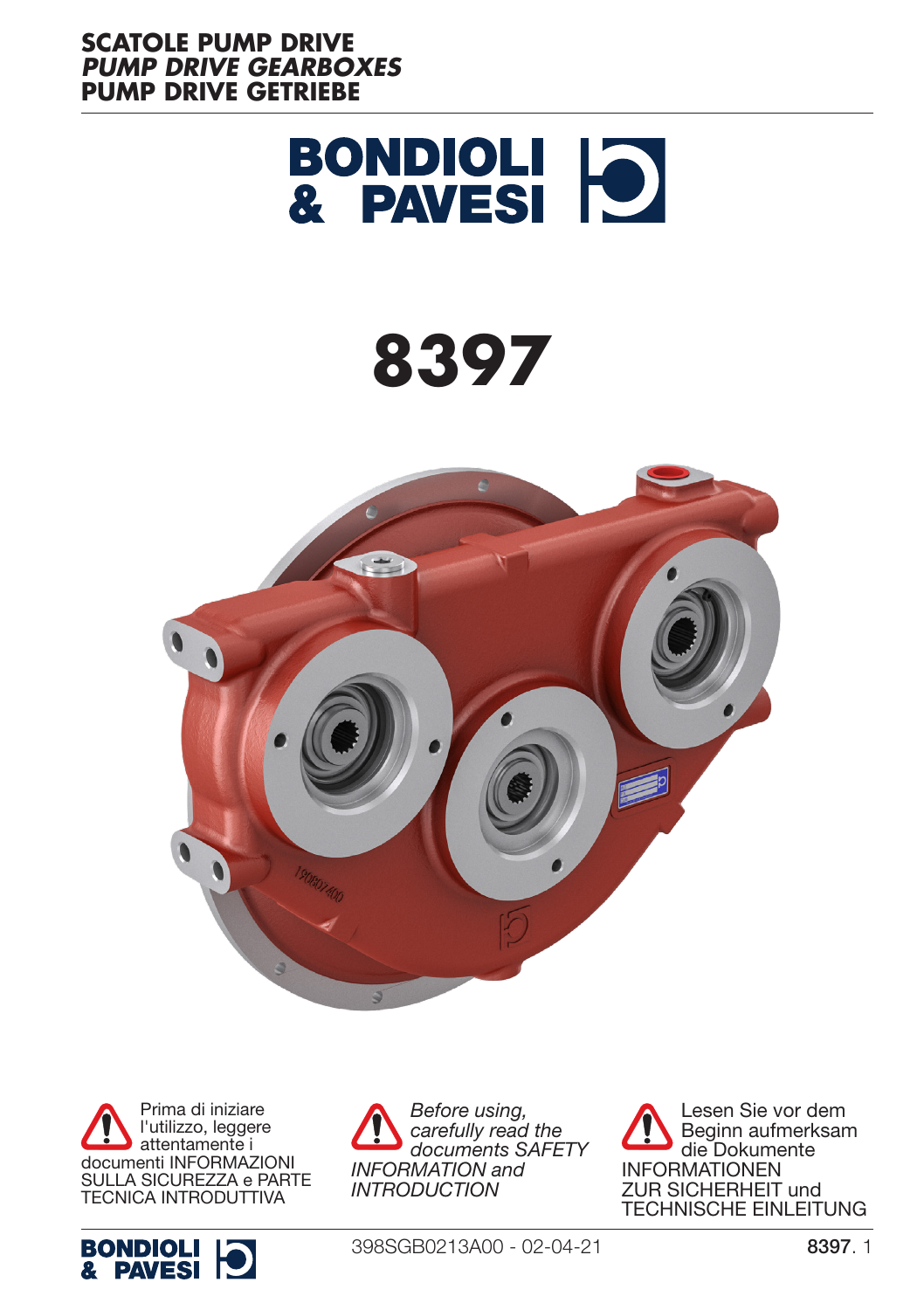

## **8397**



Prima di iniziare l'utilizzo, leggere attentamente i documenti INFORMAZIONI SULLA SICUREZZA e PARTE TECNICA INTRODUTTIVA



*Before using, carefully read the documents SAFETY INFORMATION and INTRODUCTION*

Lesen Sie vor dem Beginn aufmerksam die Dokumente INFORMATIONEN ZUR SICHERHEIT und TECHNISCHE EINLEITUNG

398SGB0213A00 - 02-04-21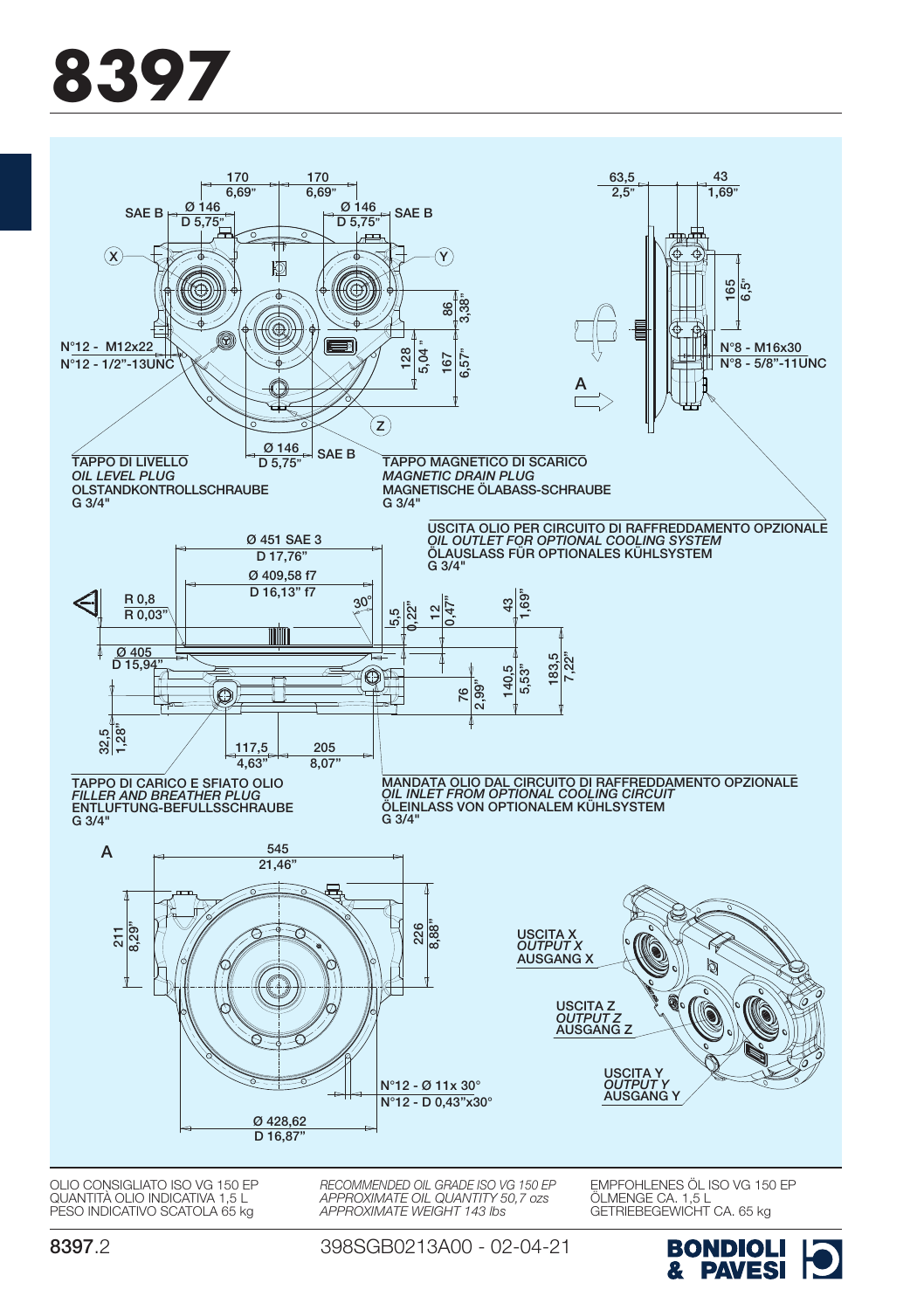# **8397**



398SGB0213A00 - 02-04-21

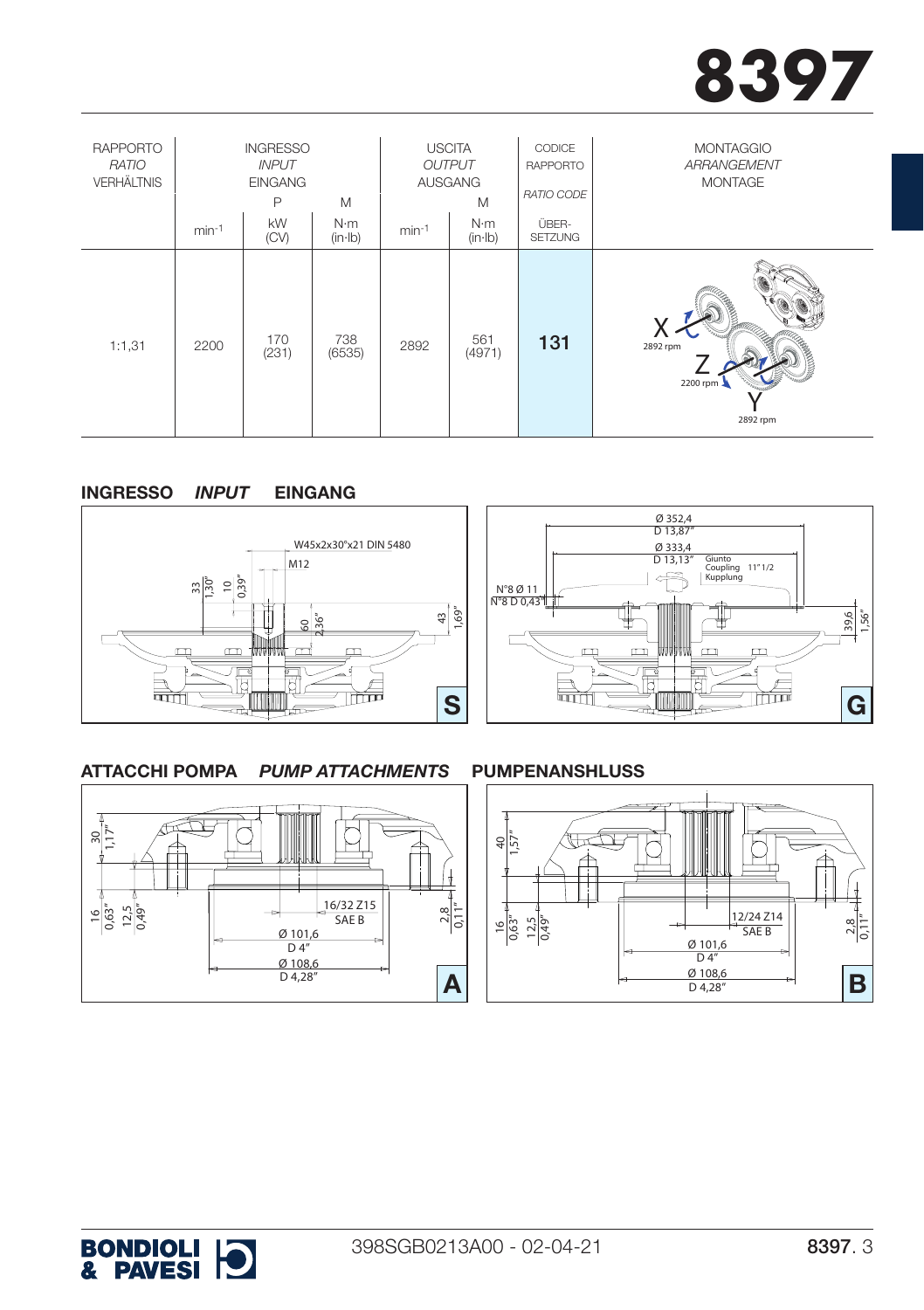

| <b>RAPPORTO</b><br>RATIO<br><b>VERHÄLTNIS</b> | <b>INGRESSO</b><br><b>INPUT</b><br><b>EINGANG</b><br>P<br>M |              |                    | <b>USCITA</b><br><b>OUTPUT</b><br><b>AUSGANG</b><br>M |                | CODICE<br><b>RAPPORTO</b><br>RATIO CODE | <b>MONTAGGIO</b><br>ARRANGEMENT<br><b>MONTAGE</b> |
|-----------------------------------------------|-------------------------------------------------------------|--------------|--------------------|-------------------------------------------------------|----------------|-----------------------------------------|---------------------------------------------------|
|                                               | $min-1$                                                     | kW<br>(CV)   | N·m<br>$(in - lb)$ | $min-1$                                               | N·m<br>(in·lb) | ÜBER-<br><b>SETZUNG</b>                 |                                                   |
| 1:1,31                                        | 2200                                                        | 170<br>(231) | 738<br>(6535)      | 2892                                                  | 561<br>(4971)  | 131                                     | 2892 rpm<br>2200 rpm<br>2892 rpm                  |

#### EINGANG *INPUT* INGRESSO



#### PUMPENANSHLUSS *PUMP ATTACHMENTS* ATTACCHI POMPA



### B 12/24 Z14 Ø 101,6  $\frac{10}{2}$ Ø 108,6 D 4,28"  $SAE B$ 40 1,57"  $\frac{16}{5}$   $\frac{13}{5}$  $\frac{8}{2}$ <u>ال</u>